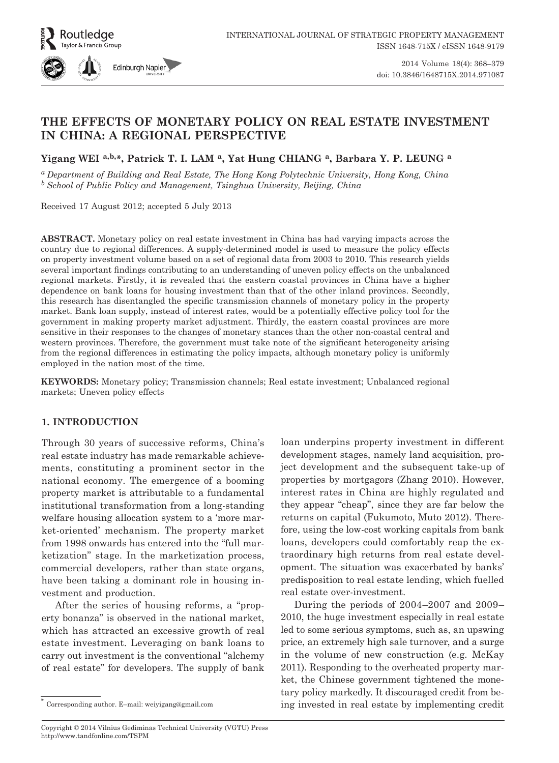

# **THE EFFECTS OF MONETARY POLICY ON REAL ESTATE INVESTMENT IN CHINA: A REGIONAL PERSPECTIVE**

**Yigang WEI a,b, \*, Patrick T. I. LAM a, Yat Hung CHIANG a, Barbara Y. P. LEUNG a**

*<sup>a</sup> Department of Building and Real Estate, The Hong Kong Polytechnic University, Hong Kong, China <sup>b</sup> School of Public Policy and Management, Tsinghua University, Beijing, China*

Received 17 August 2012; accepted 5 July 2013

**ABSTRACT.** Monetary policy on real estate investment in China has had varying impacts across the country due to regional differences. A supply-determined model is used to measure the policy effects on property investment volume based on a set of regional data from 2003 to 2010. This research yields several important findings contributing to an understanding of uneven policy effects on the unbalanced regional markets. Firstly, it is revealed that the eastern coastal provinces in China have a higher dependence on bank loans for housing investment than that of the other inland provinces. Secondly, this research has disentangled the specific transmission channels of monetary policy in the property market. Bank loan supply, instead of interest rates, would be a potentially effective policy tool for the government in making property market adjustment. Thirdly, the eastern coastal provinces are more sensitive in their responses to the changes of monetary stances than the other non-coastal central and western provinces. Therefore, the government must take note of the significant heterogeneity arising from the regional differences in estimating the policy impacts, although monetary policy is uniformly employed in the nation most of the time.

**KEYWORDS:** Monetary policy; Transmission channels; Real estate investment; Unbalanced regional markets; Uneven policy effects

### **1. INTRODUCTION**

Through 30 years of successive reforms, China's real estate industry has made remarkable achievements, constituting a prominent sector in the national economy. The emergence of a booming property market is attributable to a fundamental institutional transformation from a long-standing welfare housing allocation system to a 'more market-oriented' mechanism. The property market from 1998 onwards has entered into the "full marketization" stage. In the marketization process, commercial developers, rather than state organs, have been taking a dominant role in housing investment and production.

After the series of housing reforms, a "property bonanza" is observed in the national market, which has attracted an excessive growth of real estate investment. Leveraging on bank loans to carry out investment is the conventional "alchemy of real estate" for developers. The supply of bank

loan underpins property investment in different development stages, namely land acquisition, project development and the subsequent take-up of properties by mortgagors (Zhang 2010). However, interest rates in China are highly regulated and they appear "cheap", since they are far below the returns on capital (Fukumoto, Muto 2012). Therefore, using the low-cost working capitals from bank loans, developers could comfortably reap the extraordinary high returns from real estate development. The situation was exacerbated by banks' predisposition to real estate lending, which fuelled real estate over-investment.

During the periods of 2004–2007 and 2009– 2010, the huge investment especially in real estate led to some serious symptoms, such as, an upswing price, an extremely high sale turnover, and a surge in the volume of new construction (e.g. McKay 2011). Responding to the overheated property market, the Chinese government tightened the monetary policy markedly. It discouraged credit from be-Corresponding author. E–mail: weiyigang@gmail.com **ing invested in real estate by implementing credit** 

Copyright © 2014 Vilnius Gediminas Technical University (VGTU) Press http://www.tandfonline.com/TSPM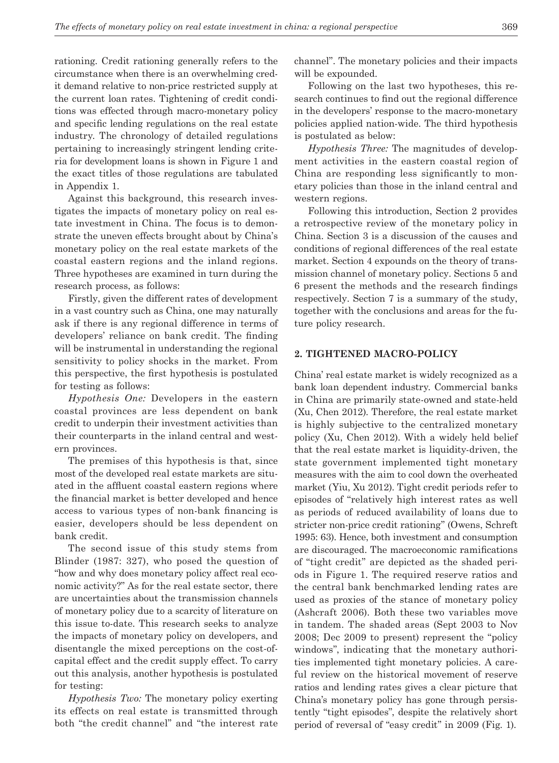rationing. Credit rationing generally refers to the circumstance when there is an overwhelming credit demand relative to non-price restricted supply at the current loan rates. Tightening of credit conditions was effected through macro-monetary policy and specific lending regulations on the real estate industry. The chronology of detailed regulations pertaining to increasingly stringent lending criteria for development loans is shown in Figure 1 and the exact titles of those regulations are tabulated in Appendix 1.

Against this background, this research investigates the impacts of monetary policy on real estate investment in China. The focus is to demonstrate the uneven effects brought about by China's monetary policy on the real estate markets of the coastal eastern regions and the inland regions. Three hypotheses are examined in turn during the research process, as follows:

Firstly, given the different rates of development in a vast country such as China, one may naturally ask if there is any regional difference in terms of developers' reliance on bank credit. The finding will be instrumental in understanding the regional sensitivity to policy shocks in the market. From this perspective, the first hypothesis is postulated for testing as follows:

*Hypothesis One:* Developers in the eastern coastal provinces are less dependent on bank credit to underpin their investment activities than their counterparts in the inland central and western provinces.

The premises of this hypothesis is that, since most of the developed real estate markets are situated in the affluent coastal eastern regions where the financial market is better developed and hence access to various types of non-bank financing is easier, developers should be less dependent on bank credit.

The second issue of this study stems from Blinder (1987: 327), who posed the question of "how and why does monetary policy affect real economic activity?" As for the real estate sector, there are uncertainties about the transmission channels of monetary policy due to a scarcity of literature on this issue to-date. This research seeks to analyze the impacts of monetary policy on developers, and disentangle the mixed perceptions on the cost-ofcapital effect and the credit supply effect. To carry out this analysis, another hypothesis is postulated for testing:

*Hypothesis Two:* The monetary policy exerting its effects on real estate is transmitted through both "the credit channel" and "the interest rate

channel". The monetary policies and their impacts will be expounded.

Following on the last two hypotheses, this research continues to find out the regional difference in the developers' response to the macro-monetary policies applied nation-wide. The third hypothesis is postulated as below:

*Hypothesis Three:* The magnitudes of development activities in the eastern coastal region of China are responding less significantly to monetary policies than those in the inland central and western regions.

Following this introduction, Section 2 provides a retrospective review of the monetary policy in China. Section 3 is a discussion of the causes and conditions of regional differences of the real estate market. Section 4 expounds on the theory of transmission channel of monetary policy. Sections 5 and 6 present the methods and the research findings respectively. Section 7 is a summary of the study, together with the conclusions and areas for the future policy research.

#### **2. TIGHTENED MACRO-POLICY**

China' real estate market is widely recognized as a bank loan dependent industry. Commercial banks in China are primarily state-owned and state-held (Xu, Chen 2012). Therefore, the real estate market is highly subjective to the centralized monetary policy (Xu, Chen 2012). With a widely held belief that the real estate market is liquidity-driven, the state government implemented tight monetary measures with the aim to cool down the overheated market (Yiu, Xu 2012). Tight credit periods refer to episodes of "relatively high interest rates as well as periods of reduced availability of loans due to stricter non-price credit rationing" (Owens, Schreft 1995: 63). Hence, both investment and consumption are discouraged. The macroeconomic ramifications of "tight credit" are depicted as the shaded periods in Figure 1. The required reserve ratios and the central bank benchmarked lending rates are used as proxies of the stance of monetary policy (Ashcraft 2006). Both these two variables move in tandem. The shaded areas (Sept 2003 to Nov 2008; Dec 2009 to present) represent the "policy windows", indicating that the monetary authorities implemented tight monetary policies. A careful review on the historical movement of reserve ratios and lending rates gives a clear picture that China's monetary policy has gone through persistently "tight episodes", despite the relatively short period of reversal of "easy credit" in 2009 (Fig. 1).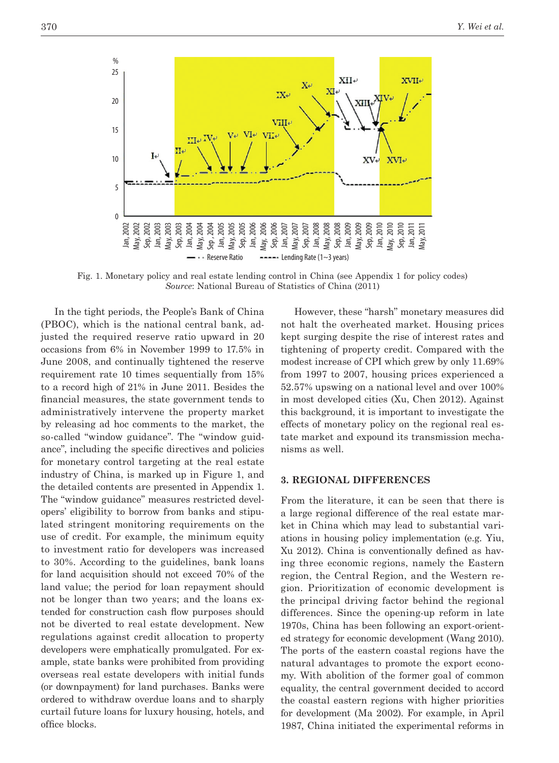

Fig. 1. Monetary policy and real estate lending control in China (see Appendix 1 for policy codes) *Source*: National Bureau of Statistics of China (2011)

In the tight periods, the People's Bank of China (PBOC), which is the national central bank, adjusted the required reserve ratio upward in 20 occasions from 6% in November 1999 to 17.5% in June 2008, and continually tightened the reserve requirement rate 10 times sequentially from 15% to a record high of 21% in June 2011. Besides the financial measures, the state government tends to administratively intervene the property market by releasing ad hoc comments to the market, the so-called "window guidance". The "window guidance", including the specific directives and policies for monetary control targeting at the real estate industry of China, is marked up in Figure 1, and the detailed contents are presented in Appendix 1. The "window guidance" measures restricted developers' eligibility to borrow from banks and stipulated stringent monitoring requirements on the use of credit. For example, the minimum equity to investment ratio for developers was increased to 30%. According to the guidelines, bank loans for land acquisition should not exceed 70% of the land value; the period for loan repayment should not be longer than two years; and the loans extended for construction cash flow purposes should not be diverted to real estate development. New regulations against credit allocation to property developers were emphatically promulgated. For example, state banks were prohibited from providing overseas real estate developers with initial funds (or downpayment) for land purchases. Banks were ordered to withdraw overdue loans and to sharply curtail future loans for luxury housing, hotels, and office blocks.

However, these "harsh" monetary measures did not halt the overheated market. Housing prices kept surging despite the rise of interest rates and tightening of property credit. Compared with the modest increase of CPI which grew by only 11.69% from 1997 to 2007, housing prices experienced a 52.57% upswing on a national level and over 100% in most developed cities (Xu, Chen 2012). Against this background, it is important to investigate the effects of monetary policy on the regional real estate market and expound its transmission mechanisms as well.

#### **3. REGIONAL DIFFERENCES**

From the literature, it can be seen that there is a large regional difference of the real estate market in China which may lead to substantial variations in housing policy implementation (e.g. Yiu, Xu 2012). China is conventionally defined as having three economic regions, namely the Eastern region, the Central Region, and the Western region. Prioritization of economic development is the principal driving factor behind the regional differences. Since the opening-up reform in late 1970s, China has been following an export-oriented strategy for economic development (Wang 2010). The ports of the eastern coastal regions have the natural advantages to promote the export economy. With abolition of the former goal of common equality, the central government decided to accord the coastal eastern regions with higher priorities for development (Ma 2002). For example, in April 1987, China initiated the experimental reforms in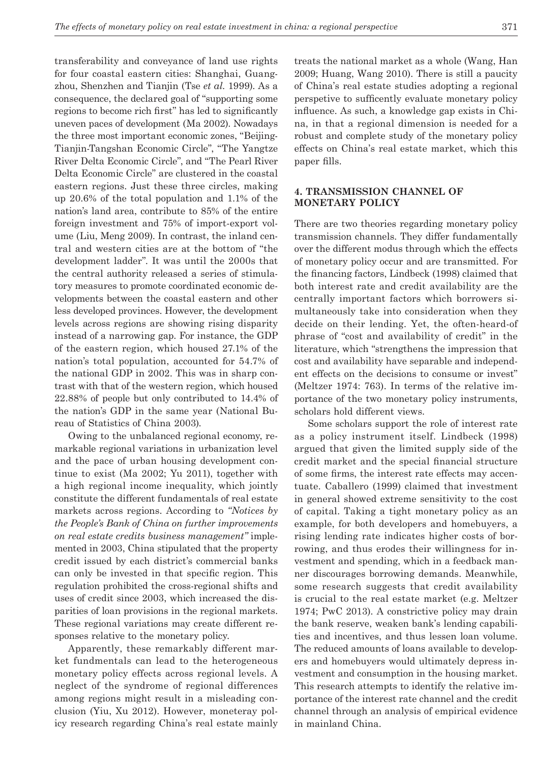transferability and conveyance of land use rights for four coastal eastern cities: Shanghai, Guangzhou, Shenzhen and Tianjin (Tse *et al.* 1999). As a consequence, the declared goal of "supporting some regions to become rich first" has led to significantly uneven paces of development (Ma 2002). Nowadays the three most important economic zones, "Beijing-Tianjin-Tangshan Economic Circle", "The Yangtze River Delta Economic Circle", and "The Pearl River Delta Economic Circle" are clustered in the coastal eastern regions. Just these three circles, making up 20.6% of the total population and 1.1% of the nation's land area, contribute to 85% of the entire foreign investment and 75% of import-export volume (Liu, Meng 2009). In contrast, the inland central and western cities are at the bottom of "the development ladder". It was until the 2000s that the central authority released a series of stimulatory measures to promote coordinated economic developments between the coastal eastern and other less developed provinces. However, the development levels across regions are showing rising disparity instead of a narrowing gap. For instance, the GDP of the eastern region, which housed 27.1% of the nation's total population, accounted for 54.7% of the national GDP in 2002. This was in sharp contrast with that of the western region, which housed 22.88% of people but only contributed to 14.4% of the nation's GDP in the same year (National Bureau of Statistics of China 2003).

Owing to the unbalanced regional economy, remarkable regional variations in urbanization level and the pace of urban housing development continue to exist (Ma 2002; Yu 2011), together with a high regional income inequality, which jointly constitute the different fundamentals of real estate markets across regions. According to *"Notices by the People's Bank of China on further improvements on real estate credits business management"* implemented in 2003, China stipulated that the property credit issued by each district's commercial banks can only be invested in that specific region. This regulation prohibited the cross-regional shifts and uses of credit since 2003, which increased the disparities of loan provisions in the regional markets. These regional variations may create different responses relative to the monetary policy.

Apparently, these remarkably different market fundmentals can lead to the heterogeneous monetary policy effects across regional levels. A neglect of the syndrome of regional differences among regions might result in a misleading conclusion (Yiu, Xu 2012). However, moneteray policy research regarding China's real estate mainly treats the national market as a whole (Wang, Han 2009; Huang, Wang 2010). There is still a paucity of China's real estate studies adopting a regional perspetive to sufficently evaluate monetary policy influence. As such, a knowledge gap exists in China, in that a regional dimension is needed for a robust and complete study of the monetary policy effects on China's real estate market, which this paper fills.

#### **4. TRANSMISSION CHANNEL OF MONETARY POLICY**

There are two theories regarding monetary policy transmission channels. They differ fundamentally over the different modus through which the effects of monetary policy occur and are transmitted. For the financing factors, Lindbeck (1998) claimed that both interest rate and credit availability are the centrally important factors which borrowers simultaneously take into consideration when they decide on their lending. Yet, the often-heard-of phrase of "cost and availability of credit" in the literature, which "strengthens the impression that cost and availability have separable and independent effects on the decisions to consume or invest" (Meltzer 1974: 763). In terms of the relative importance of the two monetary policy instruments, scholars hold different views.

Some scholars support the role of interest rate as a policy instrument itself. Lindbeck (1998) argued that given the limited supply side of the credit market and the special financial structure of some firms, the interest rate effects may accentuate. Caballero (1999) claimed that investment in general showed extreme sensitivity to the cost of capital. Taking a tight monetary policy as an example, for both developers and homebuyers, a rising lending rate indicates higher costs of borrowing, and thus erodes their willingness for investment and spending, which in a feedback manner discourages borrowing demands. Meanwhile, some research suggests that credit availability is crucial to the real estate market (e.g. Meltzer 1974; PwC 2013). A constrictive policy may drain the bank reserve, weaken bank's lending capabilities and incentives, and thus lessen loan volume. The reduced amounts of loans available to developers and homebuyers would ultimately depress investment and consumption in the housing market. This research attempts to identify the relative importance of the interest rate channel and the credit channel through an analysis of empirical evidence in mainland China.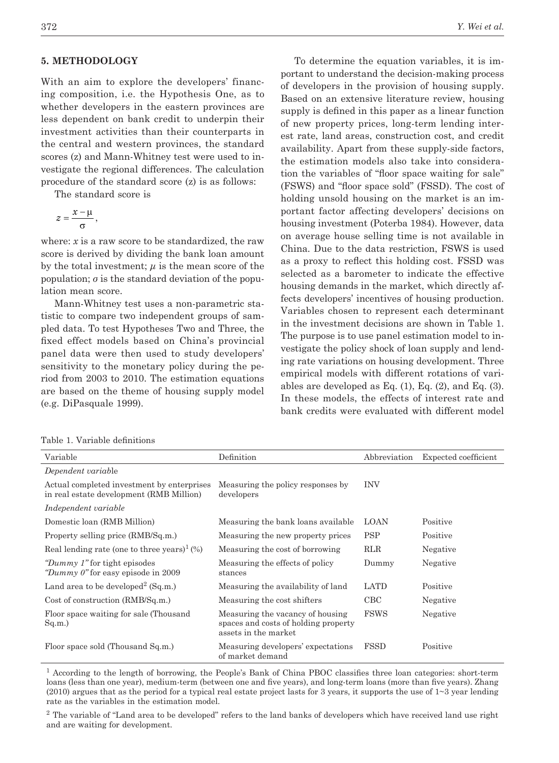#### **5. METHODOLOGY**

With an aim to explore the developers' financing composition, i.e. the Hypothesis One, as to whether developers in the eastern provinces are less dependent on bank credit to underpin their investment activities than their counterparts in the central and western provinces, the standard scores (z) and Mann-Whitney test were used to investigate the regional differences. The calculation procedure of the standard score (z) is as follows:

The standard score is

$$
z=\frac{x-\mu}{\sigma},
$$

where:  $x$  is a raw score to be standardized, the raw score is derived by dividing the bank loan amount by the total investment;  $\mu$  is the mean score of the population; *σ* is the standard deviation of the population mean score.

Mann-Whitney test uses a non-parametric statistic to compare two independent groups of sampled data. To test Hypotheses Two and Three, the fixed effect models based on China's provincial panel data were then used to study developers' sensitivity to the monetary policy during the period from 2003 to 2010. The estimation equations are based on the theme of housing supply model (e.g. DiPasquale 1999).

| 372 | Y. Wei et al. |
|-----|---------------|
|     |               |

To determine the equation variables, it is important to understand the decision-making process of developers in the provision of housing supply. Based on an extensive literature review, housing supply is defined in this paper as a linear function of new property prices, long-term lending interest rate, land areas, construction cost, and credit availability. Apart from these supply-side factors, the estimation models also take into consideration the variables of "floor space waiting for sale" (FSWS) and "floor space sold" (FSSD). The cost of holding unsold housing on the market is an important factor affecting developers' decisions on housing investment (Poterba 1984). However, data on average house selling time is not available in China. Due to the data restriction, FSWS is used as a proxy to reflect this holding cost. FSSD was selected as a barometer to indicate the effective housing demands in the market, which directly affects developers' incentives of housing production. Variables chosen to represent each determinant in the investment decisions are shown in Table 1. The purpose is to use panel estimation model to investigate the policy shock of loan supply and lending rate variations on housing development. Three empirical models with different rotations of variables are developed as Eq.  $(1)$ , Eq.  $(2)$ , and Eq.  $(3)$ . In these models, the effects of interest rate and bank credits were evaluated with different model

|  |  | Table 1. Variable definitions |
|--|--|-------------------------------|
|--|--|-------------------------------|

| Variable                                                                               | Definition                                                                                       | Abbreviation | Expected coefficient |
|----------------------------------------------------------------------------------------|--------------------------------------------------------------------------------------------------|--------------|----------------------|
| Dependent variable                                                                     |                                                                                                  |              |                      |
| Actual completed investment by enterprises<br>in real estate development (RMB Million) | Measuring the policy responses by<br>developers                                                  | <b>INV</b>   |                      |
| Independent variable                                                                   |                                                                                                  |              |                      |
| Domestic loan (RMB Million)                                                            | Measuring the bank loans available                                                               | LOAN         | Positive             |
| Property selling price (RMB/Sq.m.)                                                     | Measuring the new property prices                                                                | <b>PSP</b>   | Positive             |
| Real lending rate (one to three years) <sup>1</sup> $(\%)$                             | Measuring the cost of borrowing                                                                  | <b>RLR</b>   | Negative             |
| "Dummy 1" for tight episodes"<br>"Dummy 0" for easy episode in 2009"                   | Measuring the effects of policy<br>stances                                                       | Dummy        | Negative             |
| Land area to be developed <sup>2</sup> (Sq.m.)                                         | Measuring the availability of land                                                               | <b>LATD</b>  | Positive             |
| Cost of construction $(RMB/Sq.m.)$                                                     | Measuring the cost shifters                                                                      | $_{\rm CBC}$ | Negative             |
| Floor space waiting for sale (Thousand<br>Sq.m.                                        | Measuring the vacancy of housing<br>spaces and costs of holding property<br>assets in the market | <b>FSWS</b>  | Negative             |
| Floor space sold (Thousand Sq.m.)                                                      | Measuring developers' expectations<br>of market demand                                           | <b>FSSD</b>  | Positive             |

<sup>1</sup> According to the length of borrowing, the People's Bank of China PBOC classifies three loan categories: short-term loans (less than one year), medium-term (between one and five years), and long-term loans (more than five years). Zhang (2010) argues that as the period for a typical real estate project lasts for 3 years, it supports the use of  $1~3$  year lending rate as the variables in the estimation model.

<sup>2</sup> The variable of "Land area to be developed" refers to the land banks of developers which have received land use right and are waiting for development.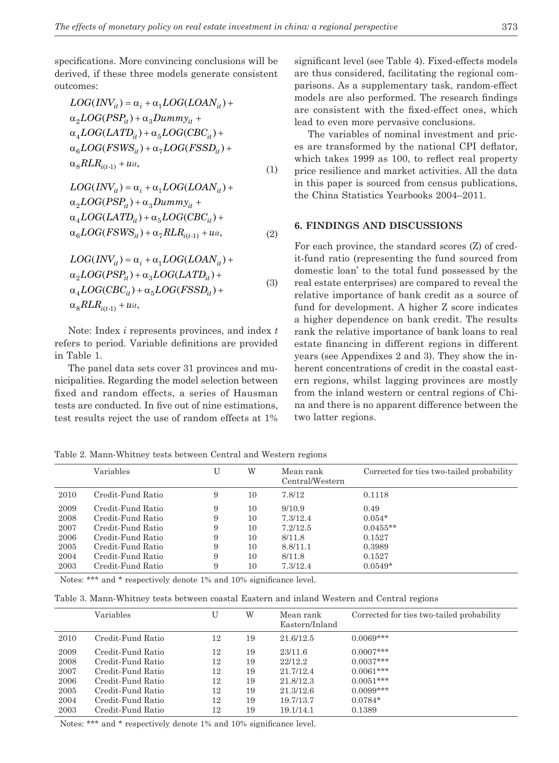specifications. More convincing conclusions will be derived, if these three models generate consistent outcomes:

$$
LOG(INV_{it}) = \alpha_i + \alpha_1 LOG(LOAN_{it}) +
$$
  
\n
$$
\alpha_2 LOG(PSP_{it}) + \alpha_3 Dummy_{it} +
$$
  
\n
$$
\alpha_4 LOG(LATD_{it}) + \alpha_5 LOG(CBC_{it}) +
$$
  
\n
$$
\alpha_6 LOG(FSWS_{it}) + \alpha_7 LOG(FSSD_{it}) +
$$
  
\n
$$
\alpha_8 RLR_{i(t-1)} + uit,
$$
\n(1)

$$
LOG(INV_{it}) = \alpha_i + \alpha_1 LOG(LOAN_{it}) +
$$
  
\n
$$
\alpha_2 LOG(PSP_{it}) + \alpha_3 Dummy_{it} +
$$
  
\n
$$
\alpha_4 LOG(LATD_{it}) + \alpha_5 LOG(CBC_{it}) +
$$
  
\n
$$
\alpha_6 LOG(FSWS_{it}) + \alpha_7 RLR_{i(t-1)} + ui,
$$
\n(2)

$$
LOG(INV_{it}) = \alpha_{i} + \alpha_{1} LOG(LOAN_{it}) +
$$
  
\n
$$
\alpha_{2}LOG(PSP_{it}) + \alpha_{3}LOG(LATD_{it}) +
$$
  
\n
$$
\alpha_{4}LOG(CBC_{it}) + \alpha_{5}LOG(FSSD_{it}) +
$$
  
\n
$$
\alpha_{8}RLR_{i(t-1)} + uit,
$$
\n(3)

Note: Index *i* represents provinces, and index *t* refers to period. Variable definitions are provided in Table 1.

The panel data sets cover 31 provinces and municipalities. Regarding the model selection between fixed and random effects, a series of Hausman tests are conducted. In five out of nine estimations, test results reject the use of random effects at 1% significant level (see Table 4). Fixed-effects models are thus considered, facilitating the regional comparisons. As a supplementary task, random-effect models are also performed. The research findings are consistent with the fixed-effect ones, which lead to even more pervasive conclusions.

The variables of nominal investment and prices are transformed by the national CPI deflator, which takes 1999 as 100, to reflect real property price resilience and market activities. All the data in this paper is sourced from census publications, the China Statistics Yearbooks 2004–2011.

#### **6. FINDINGS AND DISCUSSIONS**

For each province, the standard scores (Z) of credit-fund ratio (representing the fund sourced from domestic loan' to the total fund possessed by the real estate enterprises) are compared to reveal the relative importance of bank credit as a source of fund for development. A higher Z score indicates a higher dependence on bank credit. The results rank the relative importance of bank loans to real estate financing in different regions in different years (see Appendixes 2 and 3). They show the inherent concentrations of credit in the coastal eastern regions, whilst lagging provinces are mostly from the inland western or central regions of China and there is no apparent difference between the two latter regions.

Table 2. Mann-Whitney tests between Central and Western regions

|      | Variables         | U | W  | Mean rank<br>Central/Western | Corrected for ties two-tailed probability |
|------|-------------------|---|----|------------------------------|-------------------------------------------|
| 2010 | Credit-Fund Ratio | 9 | 10 | 7.8/12                       | 0.1118                                    |
| 2009 | Credit-Fund Ratio | 9 | 10 | 9/10.9                       | 0.49                                      |
| 2008 | Credit-Fund Ratio | 9 | 10 | 7.3/12.4                     | $0.054*$                                  |
| 2007 | Credit-Fund Ratio | 9 | 10 | 7.2/12.5                     | $0.0455**$                                |
| 2006 | Credit-Fund Ratio | 9 | 10 | 8/11.8                       | 0.1527                                    |
| 2005 | Credit-Fund Ratio | 9 | 10 | 8.8/11.1                     | 0.3989                                    |
| 2004 | Credit-Fund Ratio | 9 | 10 | 8/11.8                       | 0.1527                                    |
| 2003 | Credit-Fund Ratio | 9 | 10 | 7.3/12.4                     | $0.0549*$                                 |

Notes: \*\*\* and \* respectively denote 1% and 10% significance level.

Table 3. Mann-Whitney tests between coastal Eastern and inland Western and Central regions

|      | Variables         |    | W  | Mean rank<br>Eastern/Inland | Corrected for ties two-tailed probability |
|------|-------------------|----|----|-----------------------------|-------------------------------------------|
| 2010 | Credit-Fund Ratio | 12 | 19 | 21.6/12.5                   | $0.0069***$                               |
| 2009 | Credit-Fund Ratio | 12 | 19 | 23/11.6                     | $0.0007***$                               |
| 2008 | Credit-Fund Ratio | 12 | 19 | 22/12.2                     | $0.0037***$                               |
| 2007 | Credit-Fund Ratio | 12 | 19 | 21.7/12.4                   | $0.0061***$                               |
| 2006 | Credit-Fund Ratio | 12 | 19 | 21.8/12.3                   | $0.0051***$                               |
| 2005 | Credit-Fund Ratio | 12 | 19 | 21.3/12.6                   | $0.0099***$                               |
| 2004 | Credit-Fund Ratio | 12 | 19 | 19.7/13.7                   | $0.0784*$                                 |
| 2003 | Credit-Fund Ratio | 12 | 19 | 19.1/14.1                   | 0.1389                                    |

Notes: \*\*\* and \* respectively denote 1% and 10% significance level.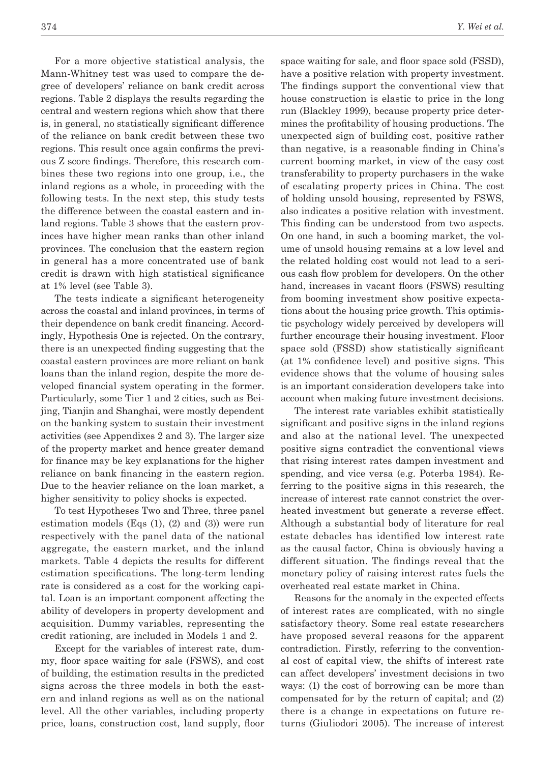For a more objective statistical analysis, the Mann-Whitney test was used to compare the degree of developers' reliance on bank credit across regions. Table 2 displays the results regarding the central and western regions which show that there is, in general, no statistically significant difference of the reliance on bank credit between these two regions. This result once again confirms the previous Z score findings. Therefore, this research combines these two regions into one group, i.e., the inland regions as a whole, in proceeding with the following tests. In the next step, this study tests the difference between the coastal eastern and inland regions. Table 3 shows that the eastern provinces have higher mean ranks than other inland provinces. The conclusion that the eastern region in general has a more concentrated use of bank credit is drawn with high statistical significance at 1% level (see Table 3).

The tests indicate a significant heterogeneity across the coastal and inland provinces, in terms of their dependence on bank credit financing. Accordingly, Hypothesis One is rejected. On the contrary, there is an unexpected finding suggesting that the coastal eastern provinces are more reliant on bank loans than the inland region, despite the more developed financial system operating in the former. Particularly, some Tier 1 and 2 cities, such as Beijing, Tianjin and Shanghai, were mostly dependent on the banking system to sustain their investment activities (see Appendixes 2 and 3). The larger size of the property market and hence greater demand for finance may be key explanations for the higher reliance on bank financing in the eastern region. Due to the heavier reliance on the loan market, a higher sensitivity to policy shocks is expected.

To test Hypotheses Two and Three, three panel estimation models (Eqs  $(1)$ ,  $(2)$  and  $(3)$ ) were run respectively with the panel data of the national aggregate, the eastern market, and the inland markets. Table 4 depicts the results for different estimation specifications. The long-term lending rate is considered as a cost for the working capital. Loan is an important component affecting the ability of developers in property development and acquisition. Dummy variables, representing the credit rationing, are included in Models 1 and 2.

Except for the variables of interest rate, dummy, floor space waiting for sale (FSWS), and cost of building, the estimation results in the predicted signs across the three models in both the eastern and inland regions as well as on the national level. All the other variables, including property price, loans, construction cost, land supply, floor

space waiting for sale, and floor space sold (FSSD), have a positive relation with property investment. The findings support the conventional view that house construction is elastic to price in the long run (Blackley 1999), because property price determines the profitability of housing productions. The unexpected sign of building cost, positive rather than negative, is a reasonable finding in China's current booming market, in view of the easy cost transferability to property purchasers in the wake of escalating property prices in China. The cost of holding unsold housing, represented by FSWS, also indicates a positive relation with investment. This finding can be understood from two aspects. On one hand, in such a booming market, the volume of unsold housing remains at a low level and the related holding cost would not lead to a serious cash flow problem for developers. On the other hand, increases in vacant floors (FSWS) resulting from booming investment show positive expectations about the housing price growth. This optimistic psychology widely perceived by developers will further encourage their housing investment. Floor space sold (FSSD) show statistically significant (at 1% confidence level) and positive signs. This evidence shows that the volume of housing sales is an important consideration developers take into account when making future investment decisions.

The interest rate variables exhibit statistically significant and positive signs in the inland regions and also at the national level. The unexpected positive signs contradict the conventional views that rising interest rates dampen investment and spending, and vice versa (e.g. Poterba 1984). Referring to the positive signs in this research, the increase of interest rate cannot constrict the overheated investment but generate a reverse effect. Although a substantial body of literature for real estate debacles has identified low interest rate as the causal factor, China is obviously having a different situation. The findings reveal that the monetary policy of raising interest rates fuels the overheated real estate market in China.

Reasons for the anomaly in the expected effects of interest rates are complicated, with no single satisfactory theory. Some real estate researchers have proposed several reasons for the apparent contradiction. Firstly, referring to the conventional cost of capital view, the shifts of interest rate can affect developers' investment decisions in two ways: (1) the cost of borrowing can be more than compensated for by the return of capital; and (2) there is a change in expectations on future returns (Giuliodori 2005). The increase of interest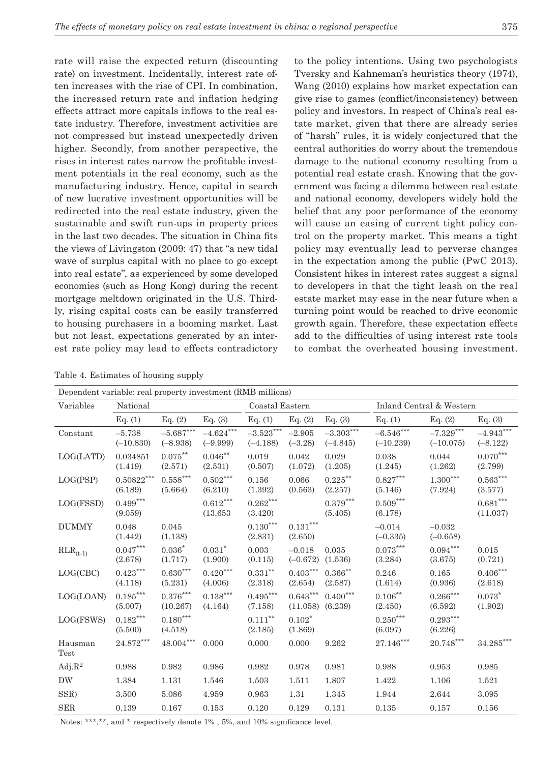rate will raise the expected return (discounting rate) on investment. Incidentally, interest rate often increases with the rise of CPI. In combination, the increased return rate and inflation hedging effects attract more capitals inflows to the real estate industry. Therefore, investment activities are not compressed but instead unexpectedly driven higher. Secondly, from another perspective, the rises in interest rates narrow the profitable investment potentials in the real economy, such as the manufacturing industry. Hence, capital in search of new lucrative investment opportunities will be redirected into the real estate industry, given the sustainable and swift run-ups in property prices in the last two decades. The situation in China fits the views of Livingston (2009: 47) that "a new tidal wave of surplus capital with no place to go except into real estate", as experienced by some developed economies (such as Hong Kong) during the recent mortgage meltdown originated in the U.S. Thirdly, rising capital costs can be easily transferred to housing purchasers in a booming market. Last but not least, expectations generated by an interest rate policy may lead to effects contradictory to the policy intentions. Using two psychologists Tversky and Kahneman's heuristics theory (1974), Wang (2010) explains how market expectation can give rise to games (conflict/inconsistency) between policy and investors. In respect of China's real estate market, given that there are already series of "harsh" rules, it is widely conjectured that the central authorities do worry about the tremendous damage to the national economy resulting from a potential real estate crash. Knowing that the government was facing a dilemma between real estate and national economy, developers widely hold the belief that any poor performance of the economy will cause an easing of current tight policy control on the property market. This means a tight policy may eventually lead to perverse changes in the expectation among the public (PwC 2013). Consistent hikes in interest rates suggest a signal to developers in that the tight leash on the real estate market may ease in the near future when a turning point would be reached to drive economic growth again. Therefore, these expectation effects add to the difficulties of using interest rate tools to combat the overheated housing investment.

Table 4. Estimates of housing supply

| Variables<br>National<br>Inland Central & Western<br>Coastal Eastern<br>Eq. $(3)$<br>Eq. $(1)$<br>Eq. $(2)$<br>Eq. (1)<br>Eq. (3)<br>Eq. $(1)$<br>Eq. $(3)$<br>Eq. $(2)$<br>Eq. (2)<br>$-6.546***$<br>$-7.329***$<br>$-5.687***$<br>$-4.624***$<br>$-3.523^{***}\,$<br>$-3.303^{***}\,$<br>$-4.943^{***}\,$<br>$-2.905$<br>$-5.738$<br>Constant |  |
|-------------------------------------------------------------------------------------------------------------------------------------------------------------------------------------------------------------------------------------------------------------------------------------------------------------------------------------------------|--|
|                                                                                                                                                                                                                                                                                                                                                 |  |
|                                                                                                                                                                                                                                                                                                                                                 |  |
| $(-10.830)$<br>$(-8.938)$<br>$(-9.999)$<br>$(-4.188)$<br>$(-3.28)$<br>$(-4.845)$<br>$(-10.239)$<br>$(-10.075)$<br>$(-8.122)$                                                                                                                                                                                                                    |  |
| $0.070^{\ast\ast\ast}$<br>$0.075***$<br>$0.046***$<br>0.044<br>LOG(LATD)<br>0.034851<br>0.019<br>0.042<br>0.029<br>0.038<br>(1.419)<br>(2.571)<br>(2.531)<br>(0.507)<br>(1.072)<br>(1.205)<br>(1.245)<br>(1.262)<br>(2.799)                                                                                                                     |  |
| $0.558^{\ast\ast\ast}$<br>$0.502\sp{***}$<br>$0.827^{\ast\ast\ast}$<br>$1.300^{***}\,$<br>$0.563^{\ast\ast\ast}$<br>$0.50822^{***}\,$<br>$0.225\sp{*}$<br>0.156<br>0.066<br>LOG(PSP)<br>(6.189)<br>(1.392)<br>(0.563)<br>(2.257)<br>(5.664)<br>(6.210)<br>(5.146)<br>(7.924)<br>(3.577)                                                         |  |
| $0.499^{\ast\ast\ast}$<br>$0.612^{\ast\ast\ast}$<br>$0.509^{\ast\ast\ast}$<br>$0.681^{\ast\ast\ast}$<br>${0.262}^{\ast\ast\ast}$<br>$0.379***$<br>LOG(FSSD)<br>(9.059)<br>(13.653)<br>(3.420)<br>(5.405)<br>(6.178)<br>(11.037)                                                                                                                 |  |
| $0.130^{\ast\ast\ast}$<br>$0.131^{\ast\ast\ast}$<br>0.048<br>0.045<br>$-0.032$<br>$-0.014$<br><b>DUMMY</b><br>$(-0.335)$<br>(1.138)<br>(2.831)<br>(2.650)<br>(1.442)<br>$(-0.658)$                                                                                                                                                              |  |
| $0.047^{\ast\ast\ast}$<br>$0.073^{***}\,$<br>${0.094}^{\ast\ast\ast}$<br>$0.036*$<br>$0.031*$<br>0.003<br>0.035<br>0.015<br>$-0.018$<br>$\mathrm{RLR}_{\text{(t-1)}}$<br>(2.678)<br>(1.900)<br>(1.717)<br>$(-0.672)$<br>(1.536)<br>(3.284)<br>(3.675)<br>(0.721)<br>(0.115)                                                                     |  |
| $0.423^{\ast\ast\ast}$<br>$0.630^{\ast\ast\ast}$<br>$0.420^{\ast\ast\ast}$<br>$0.403^{***}\,$<br>$0.331^{**}$<br>$0.406^{***}\,$<br>$0.366***$<br>0.246<br>LOG(CBC)<br>0.165<br>(4.118)<br>(5.231)<br>(4.006)<br>(2.618)<br>(2.318)<br>(2.654)<br>(2.587)<br>(1.614)<br>(0.936)                                                                 |  |
| $0.185\sp{***}$<br>$0.376^{\ast\ast\ast}$<br>$0.138^{***}\,$<br>$0.495^\ast{}^{\ast}{}^{\ast}{}$<br>$0.643***$<br>$0.400***$<br>$0.266***$<br>$0.106***$<br>$0.073*$<br>LOG(LOAN)<br>(5.007)<br>(10.267)<br>(11.058)<br>(2.450)<br>(6.592)<br>(4.164)<br>(7.158)<br>(6.239)<br>(1.902)                                                          |  |
| $0.182^{\ast\ast\ast}$<br>$0.180***$<br>$0.293^{\ast\ast\ast}$<br>${0.250}^{\ast\ast\ast}$<br>$0.111***$<br>$0.102*$<br>LOG(FSWS)<br>(1.869)<br>(6.097)<br>(6.226)<br>(5.500)<br>(4.518)<br>(2.185)                                                                                                                                             |  |
| $24.872^{\ast\ast\ast}$<br>$48.004^{***}\,$<br>$27.146^{\ast\ast\ast}$<br>$20.748***$<br>$\textbf{34.285}^{\ast\ast\ast}$<br>0.000<br>0.000<br>0.000<br>9.262<br>Hausman<br>Test                                                                                                                                                                |  |
| $Adj.R^2$<br>0.988<br>0.982<br>0.986<br>0.982<br>0.978<br>0.981<br>0.988<br>0.953<br>0.985                                                                                                                                                                                                                                                      |  |
| <b>DW</b><br>1.422<br>1.384<br>1.131<br>1.546<br>1.503<br>1.511<br>1.807<br>1.106<br>1.521                                                                                                                                                                                                                                                      |  |
| SSR)<br>3.095<br>3.500<br>5.086<br>4.959<br>0.963<br>1.31<br>1.345<br>1.944<br>2.644                                                                                                                                                                                                                                                            |  |
| <b>SER</b><br>0.139<br>0.167<br>0.120<br>0.131<br>0.153<br>0.129<br>0.135<br>0.157<br>0.156                                                                                                                                                                                                                                                     |  |

Notes: \*\*\*,\*\*, and \* respectively denote 1% , 5%, and 10% significance level.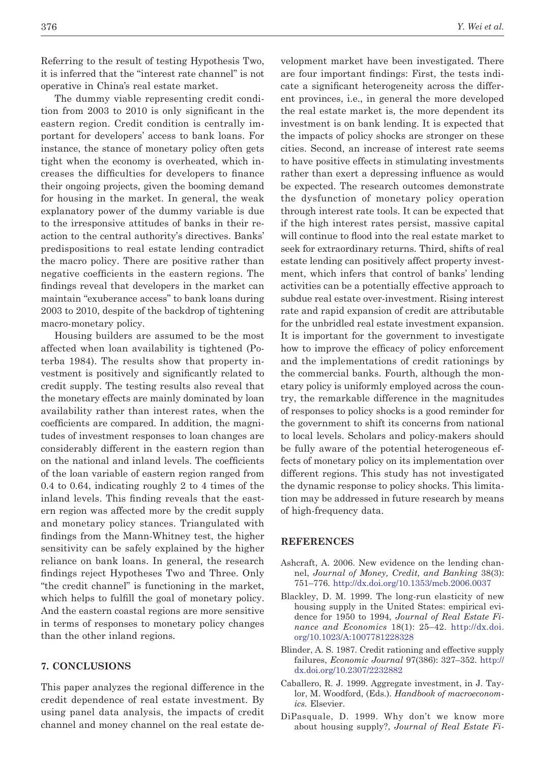Referring to the result of testing Hypothesis Two, it is inferred that the "interest rate channel" is not operative in China's real estate market.

The dummy viable representing credit condition from 2003 to 2010 is only significant in the eastern region. Credit condition is centrally important for developers' access to bank loans. For instance, the stance of monetary policy often gets tight when the economy is overheated, which increases the difficulties for developers to finance their ongoing projects, given the booming demand for housing in the market. In general, the weak explanatory power of the dummy variable is due to the irresponsive attitudes of banks in their reaction to the central authority's directives. Banks' predispositions to real estate lending contradict the macro policy. There are positive rather than negative coefficients in the eastern regions. The findings reveal that developers in the market can maintain "exuberance access" to bank loans during 2003 to 2010, despite of the backdrop of tightening macro-monetary policy.

Housing builders are assumed to be the most affected when loan availability is tightened (Poterba 1984). The results show that property investment is positively and significantly related to credit supply. The testing results also reveal that the monetary effects are mainly dominated by loan availability rather than interest rates, when the coefficients are compared. In addition, the magnitudes of investment responses to loan changes are considerably different in the eastern region than on the national and inland levels. The coefficients of the loan variable of eastern region ranged from 0.4 to 0.64, indicating roughly 2 to 4 times of the inland levels. This finding reveals that the eastern region was affected more by the credit supply and monetary policy stances. Triangulated with findings from the Mann-Whitney test, the higher sensitivity can be safely explained by the higher reliance on bank loans. In general, the research findings reject Hypotheses Two and Three. Only "the credit channel" is functioning in the market, which helps to fulfill the goal of monetary policy. And the eastern coastal regions are more sensitive in terms of responses to monetary policy changes than the other inland regions.

#### **7. CONCLUSIONS**

This paper analyzes the regional difference in the credit dependence of real estate investment. By using panel data analysis, the impacts of credit channel and money channel on the real estate de-

velopment market have been investigated. There are four important findings: First, the tests indicate a significant heterogeneity across the different provinces, i.e., in general the more developed the real estate market is, the more dependent its investment is on bank lending. It is expected that the impacts of policy shocks are stronger on these cities. Second, an increase of interest rate seems to have positive effects in stimulating investments rather than exert a depressing influence as would be expected. The research outcomes demonstrate the dysfunction of monetary policy operation through interest rate tools. It can be expected that if the high interest rates persist, massive capital will continue to flood into the real estate market to seek for extraordinary returns. Third, shifts of real estate lending can positively affect property investment, which infers that control of banks' lending activities can be a potentially effective approach to subdue real estate over-investment. Rising interest rate and rapid expansion of credit are attributable for the unbridled real estate investment expansion. It is important for the government to investigate how to improve the efficacy of policy enforcement and the implementations of credit rationings by the commercial banks. Fourth, although the monetary policy is uniformly employed across the country, the remarkable difference in the magnitudes of responses to policy shocks is a good reminder for the government to shift its concerns from national to local levels. Scholars and policy-makers should be fully aware of the potential heterogeneous effects of monetary policy on its implementation over different regions. This study has not investigated the dynamic response to policy shocks. This limitation may be addressed in future research by means of high-frequency data.

#### **REFERENCES**

- Ashcraft, A. 2006. New evidence on the lending channel, *Journal of Money, Credit, and Banking* 38(3): 751–776. <http://dx.doi.org/10.1353/mcb.2006.0037>
- Blackley, D. M. 1999. The long-run elasticity of new housing supply in the United States: empirical evidence for 1950 to 1994, *Journal of Real Estate Finance and Economics* 18(1): 25–42. [http://dx.doi.](http://dx.doi.org/10.1023/A:1007781228328) [org/10.1023/A:1007781228328](http://dx.doi.org/10.1023/A:1007781228328)
- Blinder, A. S. 1987. Credit rationing and effective supply failures, *Economic Journal* 97(386): 327–352. [http://](http://dx.doi.org/10.2307/2232882) [dx.doi.org/10.2307/2232882](http://dx.doi.org/10.2307/2232882)
- Caballero, R. J. 1999. Aggregate investment, in J. Taylor, M. Woodford, (Eds.). *Handbook of macroeconomics.* Elsevier.
- DiPasquale, D. 1999. Why don't we know more about housing supply?, *Journal of Real Estate Fi-*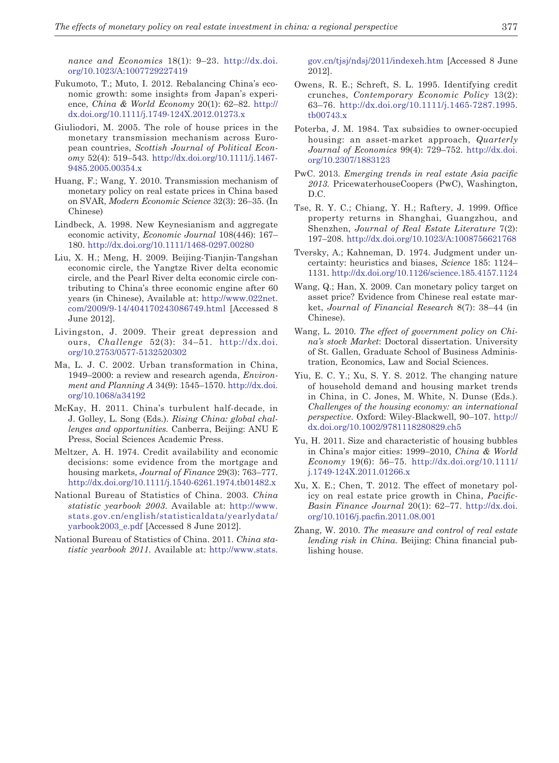*nance and Economics* 18(1): 9–23. [http://dx.doi.](http://dx.doi.org/10.1023/A:1007729227419) [org/10.1023/A:1007729227419](http://dx.doi.org/10.1023/A:1007729227419)

- Fukumoto, T.; Muto, I. 2012. Rebalancing China's economic growth: some insights from Japan's experience, *China & World Economy* 20(1): 62–82. [http://](http://dx.doi.org/10.1111/j.1749-124X.2012.01273.x) [dx.doi.org/10.1111/j.1749-124X.2012.01273.x](http://dx.doi.org/10.1111/j.1749-124X.2012.01273.x)
- Giuliodori, M. 2005. The role of house prices in the monetary transmission mechanism across European countries, *Scottish Journal of Political Economy* 52(4): 519–543. [http://dx.doi.org/10.1111/j.1467-](http://dx.doi.org/10.1111/j.1467-9485.2005.00354.x) [9485.2005.00354.x](http://dx.doi.org/10.1111/j.1467-9485.2005.00354.x)
- Huang, F.; Wang, Y. 2010. Transmission mechanism of monetary policy on real estate prices in China based on SVAR, *Modern Economic Science* 32(3): 26–35. (In Chinese)
- Lindbeck, A. 1998. New Keynesianism and aggregate economic activity, *Economic Journal* 108(446): 167– 180. <http://dx.doi.org/10.1111/1468-0297.00280>
- Liu, X. H.; Meng, H. 2009. Beijing-Tianjin-Tangshan economic circle, the Yangtze River delta economic circle, and the Pearl River delta economic circle contributing to China's three economic engine after 60 years (in Chinese), Available at: [http://www.022net.](http://www.022net.com/2009/9-14/404170243086749.html) [com/2009/9-14/404170243086749.html](http://www.022net.com/2009/9-14/404170243086749.html) [Accessed 8 June 2012].
- Livingston, J. 2009. Their great depression and ours, *Challenge* 52(3): 34–51. [http://dx.doi.](http://dx.doi.org/10.2753/0577-5132520302) [org/10.2753/0577-5132520302](http://dx.doi.org/10.2753/0577-5132520302)
- Ma, L. J. C. 2002. Urban transformation in China, 1949–2000: a review and research agenda, *Environment and Planning A* 34(9): 1545–1570. [http://dx.doi.](http://dx.doi.org/10.1068/a34192) [org/10.1068/a34192](http://dx.doi.org/10.1068/a34192)
- McKay, H. 2011. China's turbulent half-decade, in J. Golley, L. Song (Eds.). *Rising China: global challenges and opportunities.* Canberra, Beijing: ANU E Press, Social Sciences Academic Press.
- Meltzer, A. H. 1974. Credit availability and economic decisions: some evidence from the mortgage and housing markets, *Journal of Finance* 29(3): 763–777. <http://dx.doi.org/10.1111/j.1540-6261.1974.tb01482.x>
- National Bureau of Statistics of China. 2003. *China statistic yearbook 2003*. Available at: [http://www.](http://www.stats.gov.cn/english/statisticaldata/yearlydata/yarbook2003_e.pdf) [stats.gov.cn/english/statisticaldata/yearlydata/](http://www.stats.gov.cn/english/statisticaldata/yearlydata/yarbook2003_e.pdf) [yarbook2003\\_e.pdf](http://www.stats.gov.cn/english/statisticaldata/yearlydata/yarbook2003_e.pdf) [Accessed 8 June 2012].
- National Bureau of Statistics of China. 2011. *China statistic yearbook 2011*. Available at: [http://www.stats.](http://www.stats.gov.cn/tjsj/ndsj/2011/indexeh.htm)

[gov.cn/tjsj/ndsj/2011/indexeh.htm](http://www.stats.gov.cn/tjsj/ndsj/2011/indexeh.htm) [Accessed 8 June 2012].

- Owens, R. E.; Schreft, S. L. 1995. Identifying credit crunches, *Contemporary Economic Policy* 13(2): 63–76. [http://dx.doi.org/10.1111/j.1465-7287.1995.](http://dx.doi.org/10.1111/j.1465-7287.1995.tb00743.x) [tb00743.x](http://dx.doi.org/10.1111/j.1465-7287.1995.tb00743.x)
- Poterba, J. M. 1984. Tax subsidies to owner-occupied housing: an asset-market approach, *Quarterly Journal of Economics* 99(4): 729–752. [http://dx.doi.](http://dx.doi.org/10.2307/1883123) [org/10.2307/1883123](http://dx.doi.org/10.2307/1883123)
- PwC. 2013. *Emerging trends in real estate Asia pacific 2013.* PricewaterhouseCoopers (PwC), Washington, D.C.
- Tse, R. Y. C.; Chiang, Y. H.; Raftery, J. 1999. Office property returns in Shanghai, Guangzhou, and Shenzhen, *Journal of Real Estate Literature* 7(2): 197–208. <http://dx.doi.org/10.1023/A:1008756621768>
- Tversky, A.; Kahneman, D. 1974. Judgment under uncertainty: heuristics and biases, *Science* 185: 1124– 1131.<http://dx.doi.org/10.1126/science.185.4157.1124>
- Wang, Q.; Han, X. 2009. Can monetary policy target on asset price? Evidence from Chinese real estate market, *Journal of Financial Research* 8(7): 38–44 (in Chinese).
- Wang, L. 2010. *The effect of government policy on China's stock Market*: Doctoral dissertation. University of St. Gallen, Graduate School of Business Administration, Economics, Law and Social Sciences.
- Yiu, E. C. Y.; Xu, S. Y. S. 2012. The changing nature of household demand and housing market trends in China, in C. Jones, M. White, N. Dunse (Eds.). *Challenges of the housing economy: an international perspective*. Oxford: Wiley-Blackwell, 90–107. [http://](http://dx.doi.org/10.1002/9781118280829.ch5) [dx.doi.org/10.1002/9781118280829.ch5](http://dx.doi.org/10.1002/9781118280829.ch5)
- Yu, H. 2011. Size and characteristic of housing bubbles in China's major cities: 1999–2010, *China & World Economy* 19(6): 56–75. [http://dx.doi.org/10.1111/](http://dx.doi.org/10.1111/j.1749-124X.2011.01266.x) [j.1749-124X.2011.01266.x](http://dx.doi.org/10.1111/j.1749-124X.2011.01266.x)
- Xu, X. E.; Chen, T. 2012. The effect of monetary policy on real estate price growth in China, *Pacific-Basin Finance Journal* 20(1): 62–77. [http://dx.doi.](http://dx.doi.org/10.1016/j.pacfin.2011.08.001) [org/10.1016/j.pacfin.2011.08.001](http://dx.doi.org/10.1016/j.pacfin.2011.08.001)
- Zhang, W. 2010. *The measure and control of real estate lending risk in China.* Beijing: China financial publishing house.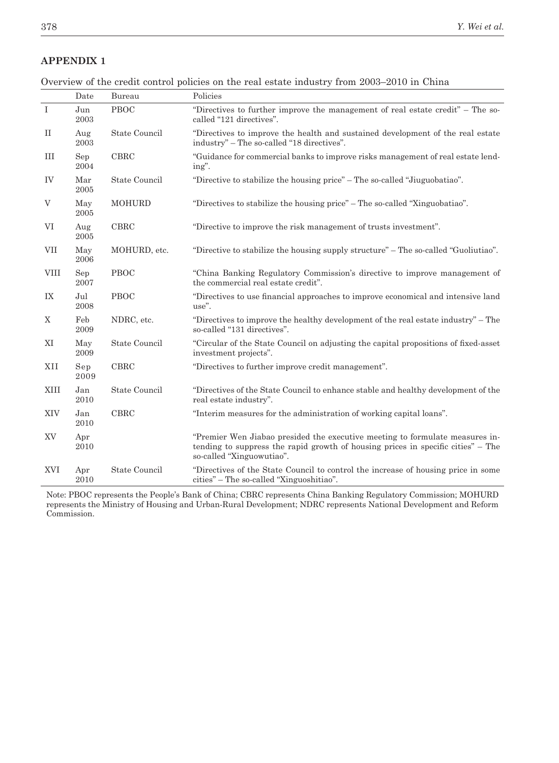## **APPENDIX 1**

|  |  |  | Overview of the credit control policies on the real estate industry from 2003–2010 in China |  |  |  |  |  |  |
|--|--|--|---------------------------------------------------------------------------------------------|--|--|--|--|--|--|
|  |  |  |                                                                                             |  |  |  |  |  |  |

|                           | Date        | Bureau               | Policies                                                                                                                                                                                      |
|---------------------------|-------------|----------------------|-----------------------------------------------------------------------------------------------------------------------------------------------------------------------------------------------|
| $\rm I$                   | Jun<br>2003 | PBOC                 | "Directives to further improve the management of real estate credit" – The so-<br>called "121 directives".                                                                                    |
| $\rm II$                  | Aug<br>2003 | State Council        | "Directives to improve the health and sustained development of the real estate<br>industry" - The so-called "18 directives".                                                                  |
| Ш                         | Sep<br>2004 | CBRC                 | "Guidance for commercial banks to improve risks management of real estate lend-<br>ing".                                                                                                      |
| IV                        | Mar<br>2005 | <b>State Council</b> | "Directive to stabilize the housing price" – The so-called "Jiuguobatiao".                                                                                                                    |
| $\boldsymbol{\mathrm{V}}$ | May<br>2005 | <b>MOHURD</b>        | "Directives to stabilize the housing price" – The so-called "Xinguobatiao".                                                                                                                   |
| VI                        | Aug<br>2005 | CBRC                 | "Directive to improve the risk management of trusts investment".                                                                                                                              |
| VII                       | May<br>2006 | MOHURD, etc.         | "Directive to stabilize the housing supply structure" – The so-called "Guoliutiao".                                                                                                           |
| <b>VIII</b>               | Sep<br>2007 | PBOC                 | "China Banking Regulatory Commission's directive to improve management of<br>the commercial real estate credit".                                                                              |
| IX                        | Jul<br>2008 | PBOC                 | "Directives to use financial approaches to improve economical and intensive land<br>use".                                                                                                     |
| X                         | Feb<br>2009 | NDRC, etc.           | "Directives to improve the healthy development of the real estate industry" - The<br>so-called "131 directives".                                                                              |
| XI                        | May<br>2009 | <b>State Council</b> | "Circular of the State Council on adjusting the capital propositions of fixed-asset<br>investment projects".                                                                                  |
| XII                       | Sep<br>2009 | CBRC                 | "Directives to further improve credit management".                                                                                                                                            |
| XIII                      | Jan<br>2010 | State Council        | "Directives of the State Council to enhance stable and healthy development of the<br>real estate industry".                                                                                   |
| <b>XIV</b>                | Jan<br>2010 | CBRC                 | "Interim measures for the administration of working capital loans".                                                                                                                           |
| XV                        | Apr<br>2010 |                      | "Premier Wen Jiabao presided the executive meeting to formulate measures in-<br>tending to suppress the rapid growth of housing prices in specific cities" – The<br>so-called "Xinguowutiao". |
| <b>XVI</b>                | Apr<br>2010 | State Council        | "Directives of the State Council to control the increase of housing price in some<br>cities" – The so-called "Xinguoshitiao".                                                                 |

Note: PBOC represents the People's Bank of China; CBRC represents China Banking Regulatory Commission; MOHURD represents the Ministry of Housing and Urban-Rural Development; NDRC represents National Development and Reform Commission.